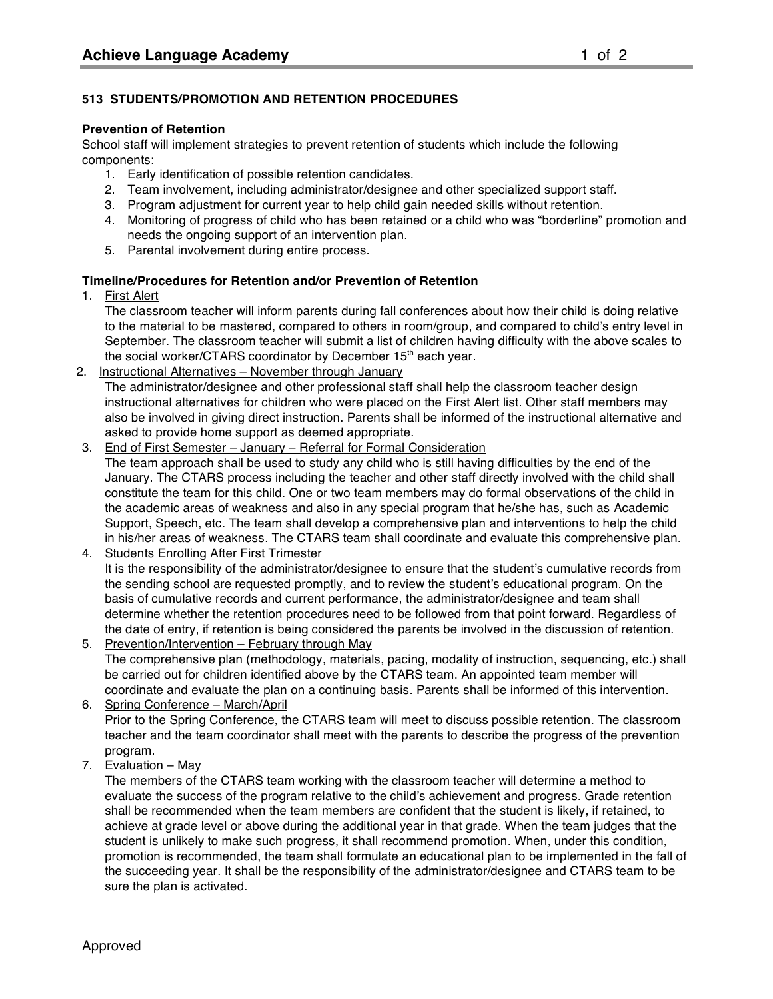## **513 STUDENTS/PROMOTION AND RETENTION PROCEDURES**

#### **Prevention of Retention**

School staff will implement strategies to prevent retention of students which include the following components:

- 1. Early identification of possible retention candidates.
- 2. Team involvement, including administrator/designee and other specialized support staff.
- 3. Program adjustment for current year to help child gain needed skills without retention.
- 4. Monitoring of progress of child who has been retained or a child who was "borderline" promotion and needs the ongoing support of an intervention plan.
- 5. Parental involvement during entire process.

### **Timeline/Procedures for Retention and/or Prevention of Retention**

### 1. First Alert

The classroom teacher will inform parents during fall conferences about how their child is doing relative to the material to be mastered, compared to others in room/group, and compared to child's entry level in September. The classroom teacher will submit a list of children having difficulty with the above scales to the social worker/CTARS coordinator by December  $15<sup>th</sup>$  each year.

### 2. Instructional Alternatives – November through January

The administrator/designee and other professional staff shall help the classroom teacher design instructional alternatives for children who were placed on the First Alert list. Other staff members may also be involved in giving direct instruction. Parents shall be informed of the instructional alternative and asked to provide home support as deemed appropriate.

- 3. End of First Semester January Referral for Formal Consideration The team approach shall be used to study any child who is still having difficulties by the end of the January. The CTARS process including the teacher and other staff directly involved with the child shall constitute the team for this child. One or two team members may do formal observations of the child in the academic areas of weakness and also in any special program that he/she has, such as Academic Support, Speech, etc. The team shall develop a comprehensive plan and interventions to help the child in his/her areas of weakness. The CTARS team shall coordinate and evaluate this comprehensive plan.
- 4. Students Enrolling After First Trimester It is the responsibility of the administrator/designee to ensure that the student's cumulative records from the sending school are requested promptly, and to review the student's educational program. On the basis of cumulative records and current performance, the administrator/designee and team shall determine whether the retention procedures need to be followed from that point forward. Regardless of the date of entry, if retention is being considered the parents be involved in the discussion of retention.
- 5. Prevention/Intervention February through May The comprehensive plan (methodology, materials, pacing, modality of instruction, sequencing, etc.) shall be carried out for children identified above by the CTARS team. An appointed team member will coordinate and evaluate the plan on a continuing basis. Parents shall be informed of this intervention.
- 6. Spring Conference March/April Prior to the Spring Conference, the CTARS team will meet to discuss possible retention. The classroom teacher and the team coordinator shall meet with the parents to describe the progress of the prevention program.
- 7. Evaluation May

The members of the CTARS team working with the classroom teacher will determine a method to evaluate the success of the program relative to the child's achievement and progress. Grade retention shall be recommended when the team members are confident that the student is likely, if retained, to achieve at grade level or above during the additional year in that grade. When the team judges that the student is unlikely to make such progress, it shall recommend promotion. When, under this condition, promotion is recommended, the team shall formulate an educational plan to be implemented in the fall of the succeeding year. It shall be the responsibility of the administrator/designee and CTARS team to be sure the plan is activated.